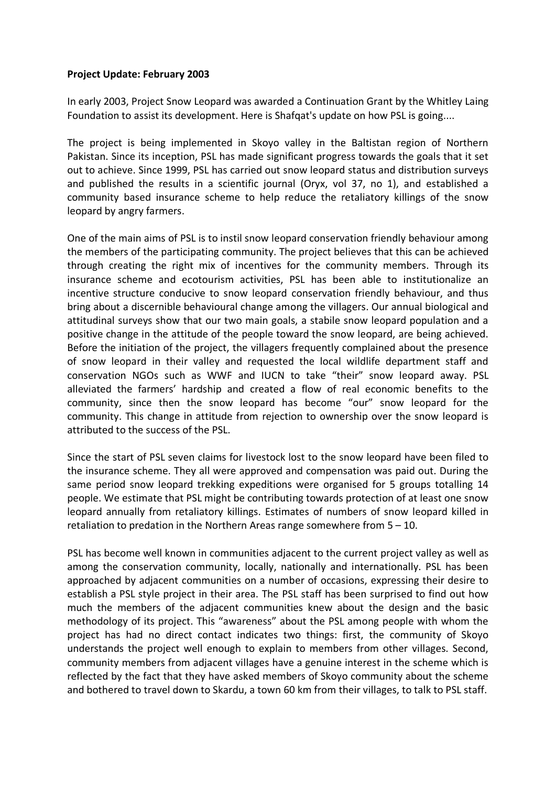## **Project Update: February 2003**

In early 2003, Project Snow Leopard was awarded a Continuation Grant by the Whitley Laing Foundation to assist its development. Here is Shafqat's update on how PSL is going....

The project is being implemented in Skoyo valley in the Baltistan region of Northern Pakistan. Since its inception, PSL has made significant progress towards the goals that it set out to achieve. Since 1999, PSL has carried out snow leopard status and distribution surveys and published the results in a scientific journal (Oryx, vol 37, no 1), and established a community based insurance scheme to help reduce the retaliatory killings of the snow leopard by angry farmers.

One of the main aims of PSL is to instil snow leopard conservation friendly behaviour among the members of the participating community. The project believes that this can be achieved through creating the right mix of incentives for the community members. Through its insurance scheme and ecotourism activities, PSL has been able to institutionalize an incentive structure conducive to snow leopard conservation friendly behaviour, and thus bring about a discernible behavioural change among the villagers. Our annual biological and attitudinal surveys show that our two main goals, a stabile snow leopard population and a positive change in the attitude of the people toward the snow leopard, are being achieved. Before the initiation of the project, the villagers frequently complained about the presence of snow leopard in their valley and requested the local wildlife department staff and conservation NGOs such as WWF and IUCN to take "their" snow leopard away. PSL alleviated the farmers' hardship and created a flow of real economic benefits to the community, since then the snow leopard has become "our" snow leopard for the community. This change in attitude from rejection to ownership over the snow leopard is attributed to the success of the PSL.

Since the start of PSL seven claims for livestock lost to the snow leopard have been filed to the insurance scheme. They all were approved and compensation was paid out. During the same period snow leopard trekking expeditions were organised for 5 groups totalling 14 people. We estimate that PSL might be contributing towards protection of at least one snow leopard annually from retaliatory killings. Estimates of numbers of snow leopard killed in retaliation to predation in the Northern Areas range somewhere from 5 – 10.

PSL has become well known in communities adjacent to the current project valley as well as among the conservation community, locally, nationally and internationally. PSL has been approached by adjacent communities on a number of occasions, expressing their desire to establish a PSL style project in their area. The PSL staff has been surprised to find out how much the members of the adjacent communities knew about the design and the basic methodology of its project. This "awareness" about the PSL among people with whom the project has had no direct contact indicates two things: first, the community of Skoyo understands the project well enough to explain to members from other villages. Second, community members from adjacent villages have a genuine interest in the scheme which is reflected by the fact that they have asked members of Skoyo community about the scheme and bothered to travel down to Skardu, a town 60 km from their villages, to talk to PSL staff.